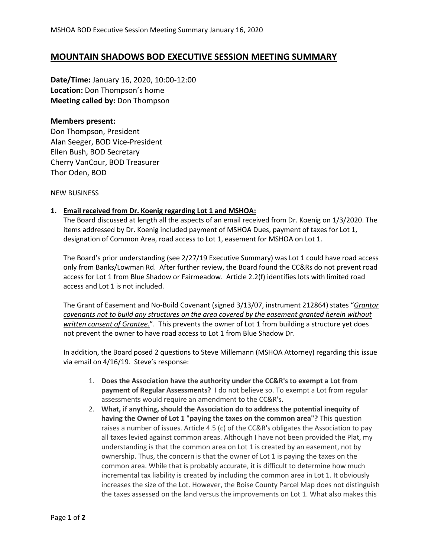## **MOUNTAIN SHADOWS BOD EXECUTIVE SESSION MEETING SUMMARY**

**Date/Time:** January 16, 2020, 10:00-12:00 **Location:** Don Thompson's home **Meeting called by:** Don Thompson

## **Members present:**

Don Thompson, President Alan Seeger, BOD Vice-President Ellen Bush, BOD Secretary Cherry VanCour, BOD Treasurer Thor Oden, BOD

NEW BUSINESS

## **1. Email received from Dr. Koenig regarding Lot 1 and MSHOA:**

The Board discussed at length all the aspects of an email received from Dr. Koenig on 1/3/2020. The items addressed by Dr. Koenig included payment of MSHOA Dues, payment of taxes for Lot 1, designation of Common Area, road access to Lot 1, easement for MSHOA on Lot 1.

The Board's prior understanding (see 2/27/19 Executive Summary) was Lot 1 could have road access only from Banks/Lowman Rd. After further review, the Board found the CC&Rs do not prevent road access for Lot 1 from Blue Shadow or Fairmeadow. Article 2.2(f) identifies lots with limited road access and Lot 1 is not included.

The Grant of Easement and No-Build Covenant (signed 3/13/07, instrument 212864) states "*Grantor covenants not to build any structures on the area covered by the easement granted herein without written consent of Grantee.*". This prevents the owner of Lot 1 from building a structure yet does not prevent the owner to have road access to Lot 1 from Blue Shadow Dr.

In addition, the Board posed 2 questions to Steve Millemann (MSHOA Attorney) regarding this issue via email on 4/16/19. Steve's response:

- 1. **Does the Association have the authority under the CC&R's to exempt a Lot from payment of Regular Assessments?** I do not believe so. To exempt a Lot from regular assessments would require an amendment to the CC&R's.
- 2. **What, if anything, should the Association do to address the potential inequity of having the Owner of Lot 1 "paying the taxes on the common area"?** This question raises a number of issues. Article 4.5 (c) of the CC&R's obligates the Association to pay all taxes levied against common areas. Although I have not been provided the Plat, my understanding is that the common area on Lot 1 is created by an easement, not by ownership. Thus, the concern is that the owner of Lot 1 is paying the taxes on the common area. While that is probably accurate, it is difficult to determine how much incremental tax liability is created by including the common area in Lot 1. It obviously increases the size of the Lot. However, the Boise County Parcel Map does not distinguish the taxes assessed on the land versus the improvements on Lot 1. What also makes this